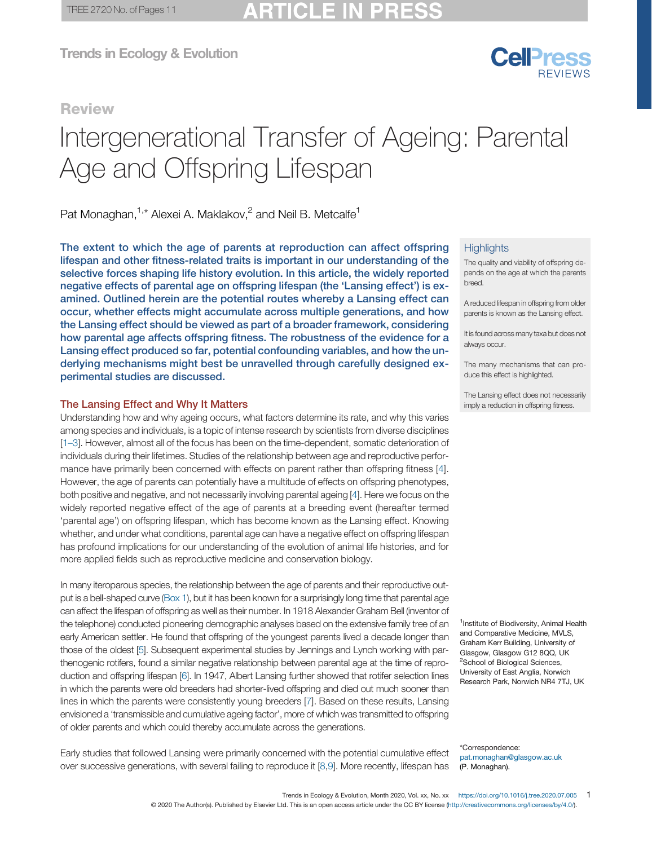## CI F

Trends in Ecology & Evolution

## Review



# Intergenerational Transfer of Ageing: Parental Age and Offspring Lifespan

Pat Monaghan,<sup>1,\*</sup> Alexei A. Maklakov,<sup>2</sup> and Neil B. Metcalfe<sup>1</sup>

The extent to which the age of parents at reproduction can affect offspring lifespan and other fitness-related traits is important in our understanding of the selective forces shaping life history evolution. In this article, the widely reported negative effects of parental age on offspring lifespan (the 'Lansing effect') is examined. Outlined herein are the potential routes whereby a Lansing effect can occur, whether effects might accumulate across multiple generations, and how the Lansing effect should be viewed as part of a broader framework, considering how parental age affects offspring fitness. The robustness of the evidence for a Lansing effect produced so far, potential confounding variables, and how the underlying mechanisms might best be unravelled through carefully designed experimental studies are discussed.

#### The Lansing Effect and Why It Matters

Understanding how and why ageing occurs, what factors determine its rate, and why this varies among species and individuals, is a topic of intense research by scientists from diverse disciplines [[1](#page-9-0)–3]. However, almost all of the focus has been on the time-dependent, somatic deterioration of individuals during their lifetimes. Studies of the relationship between age and reproductive performance have primarily been concerned with effects on parent rather than offspring fitness [[4\]](#page-9-0). However, the age of parents can potentially have a multitude of effects on offspring phenotypes, both positive and negative, and not necessarily involving parental ageing [[4\]](#page-9-0). Here we focus on the widely reported negative effect of the age of parents at a breeding event (hereafter termed 'parental age') on offspring lifespan, which has become known as the Lansing effect. Knowing whether, and under what conditions, parental age can have a negative effect on offspring lifespan has profound implications for our understanding of the evolution of animal life histories, and for more applied fields such as reproductive medicine and conservation biology.

In many iteroparous species, the relationship between the age of parents and their reproductive output is a bell-shaped curve ([Box 1\)](#page-1-0), but it has been known for a surprisingly long time that parental age can affect the lifespan of offspring as well as their number. In 1918 Alexander Graham Bell (inventor of the telephone) conducted pioneering demographic analyses based on the extensive family tree of an early American settler. He found that offspring of the youngest parents lived a decade longer than those of the oldest [\[5](#page-9-0)]. Subsequent experimental studies by Jennings and Lynch working with parthenogenic rotifers, found a similar negative relationship between parental age at the time of reproduction and offspring lifespan [\[6\]](#page-9-0). In 1947, Albert Lansing further showed that rotifer selection lines in which the parents were old breeders had shorter-lived offspring and died out much sooner than lines in which the parents were consistently young breeders [\[7](#page-9-0)]. Based on these results, Lansing envisioned a 'transmissible and cumulative ageing factor', more of which was transmitted to offspring of older parents and which could thereby accumulate across the generations.

#### **Highlights**

The quality and viability of offspring depends on the age at which the parents breed.

A reduced lifespan in offspring from older parents is known as the Lansing effect.

It is found across many taxa but does not always occur.

The many mechanisms that can produce this effect is highlighted.

The Lansing effect does not necessarily imply a reduction in offspring fitness.

<sup>1</sup>Institute of Biodiversity, Animal Health and Comparative Medicine, MVLS, Graham Kerr Building, University of Glasgow, Glasgow G12 8QQ, UK <sup>2</sup>School of Biological Sciences, University of East Anglia, Norwich Research Park, Norwich NR4 7TJ, UK

Early studies that followed Lansing were primarily concerned with the potential cumulative effect over successive generations, with several failing to reproduce it [\[8,9](#page-9-0)]. More recently, lifespan has

\*Correspondence: pat.monaghan@glasgow.ac.uk (P. Monaghan).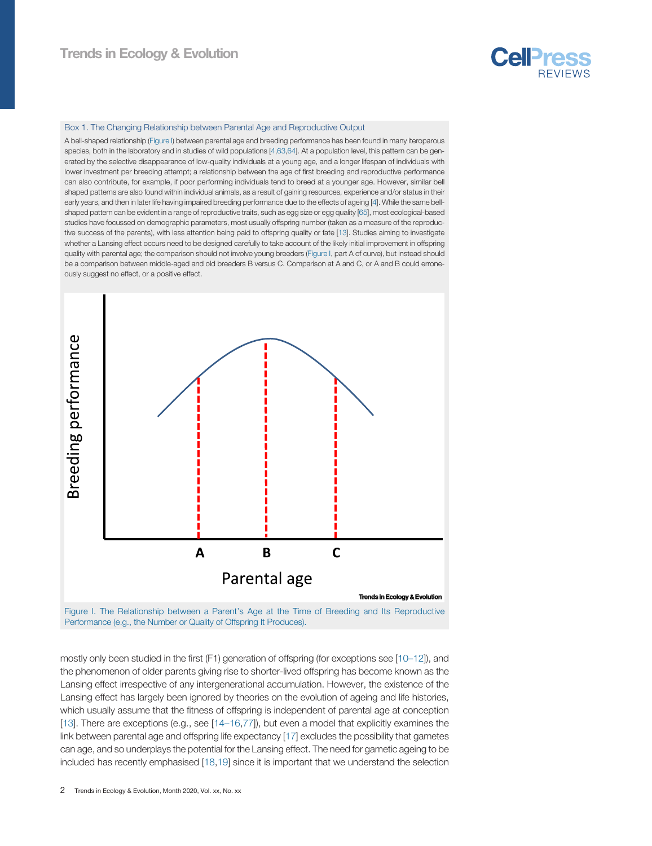#### <span id="page-1-0"></span>Box 1. The Changing Relationship between Parental Age and Reproductive Output

A bell-shaped relationship (Figure I) between parental age and breeding performance has been found in many iteroparous species, both in the laboratory and in studies of wild populations [[4](#page-9-0)[,63,64\]](#page-10-0). At a population level, this pattern can be generated by the selective disappearance of low-quality individuals at a young age, and a longer lifespan of individuals with lower investment per breeding attempt; a relationship between the age of first breeding and reproductive performance can also contribute, for example, if poor performing individuals tend to breed at a younger age. However, similar bell shaped patterns are also found within individual animals, as a result of gaining resources, experience and/or status in their early years, and then in later life having impaired breeding performance due to the effects of ageing [[4](#page-9-0)]. While the same bellshaped pattern can be evident in a range of reproductive traits, such as egg size or egg quality [\[65\]](#page-10-0), most ecological-based studies have focussed on demographic parameters, most usually offspring number (taken as a measure of the reproductive success of the parents), with less attention being paid to offspring quality or fate [\[13\]](#page-9-0). Studies aiming to investigate whether a Lansing effect occurs need to be designed carefully to take account of the likely initial improvement in offspring quality with parental age; the comparison should not involve young breeders (Figure I, part A of curve), but instead should be a comparison between middle-aged and old breeders B versus C. Comparison at A and C, or A and B could erroneously suggest no effect, or a positive effect.





mostly only been studied in the first (F1) generation of offspring (for exceptions see [[10](#page-9-0)–12]), and the phenomenon of older parents giving rise to shorter-lived offspring has become known as the Lansing effect irrespective of any intergenerational accumulation. However, the existence of the Lansing effect has largely been ignored by theories on the evolution of ageing and life histories, which usually assume that the fitness of offspring is independent of parental age at conception [[13\]](#page-9-0). There are exceptions (e.g., see [[14](#page-9-0)–16,[77\]](#page-10-0)), but even a model that explicitly examines the link between parental age and offspring life expectancy [\[17\]](#page-9-0) excludes the possibility that gametes can age, and so underplays the potential for the Lansing effect. The need for gametic ageing to be included has recently emphasised [[18,19](#page-9-0)] since it is important that we understand the selection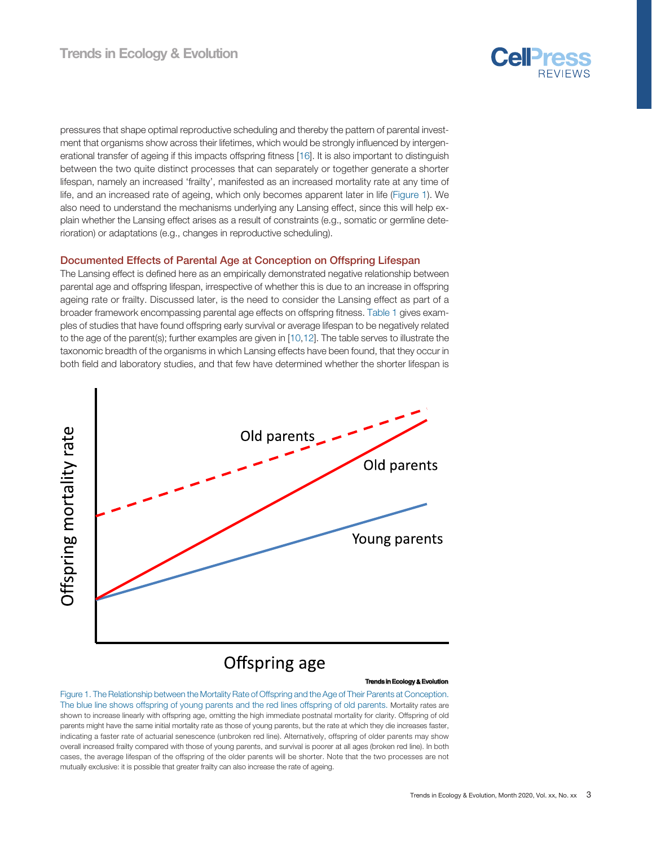

<span id="page-2-0"></span>pressures that shape optimal reproductive scheduling and thereby the pattern of parental investment that organisms show across their lifetimes, which would be strongly influenced by intergenerational transfer of ageing if this impacts offspring fitness [[16\]](#page-9-0). It is also important to distinguish between the two quite distinct processes that can separately or together generate a shorter lifespan, namely an increased 'frailty', manifested as an increased mortality rate at any time of life, and an increased rate of ageing, which only becomes apparent later in life (Figure 1). We also need to understand the mechanisms underlying any Lansing effect, since this will help explain whether the Lansing effect arises as a result of constraints (e.g., somatic or germline deterioration) or adaptations (e.g., changes in reproductive scheduling).

#### Documented Effects of Parental Age at Conception on Offspring Lifespan

The Lansing effect is defined here as an empirically demonstrated negative relationship between parental age and offspring lifespan, irrespective of whether this is due to an increase in offspring ageing rate or frailty. Discussed later, is the need to consider the Lansing effect as part of a broader framework encompassing parental age effects on offspring fitness. [Table 1](#page-3-0) gives examples of studies that have found offspring early survival or average lifespan to be negatively related to the age of the parent(s); further examples are given in [\[10](#page-9-0),[12](#page-9-0)]. The table serves to illustrate the taxonomic breadth of the organisms in which Lansing effects have been found, that they occur in both field and laboratory studies, and that few have determined whether the shorter lifespan is



## Offspring age

#### **Trends in Ecology & Evolution**

Figure 1. The Relationship between the Mortality Rate of Offspring and the Age of Their Parents at Conception. The blue line shows offspring of young parents and the red lines offspring of old parents. Mortality rates are shown to increase linearly with offspring age, omitting the high immediate postnatal mortality for clarity. Offspring of old parents might have the same initial mortality rate as those of young parents, but the rate at which they die increases faster, indicating a faster rate of actuarial senescence (unbroken red line). Alternatively, offspring of older parents may show overall increased frailty compared with those of young parents, and survival is poorer at all ages (broken red line). In both cases, the average lifespan of the offspring of the older parents will be shorter. Note that the two processes are not mutually exclusive: it is possible that greater frailty can also increase the rate of ageing.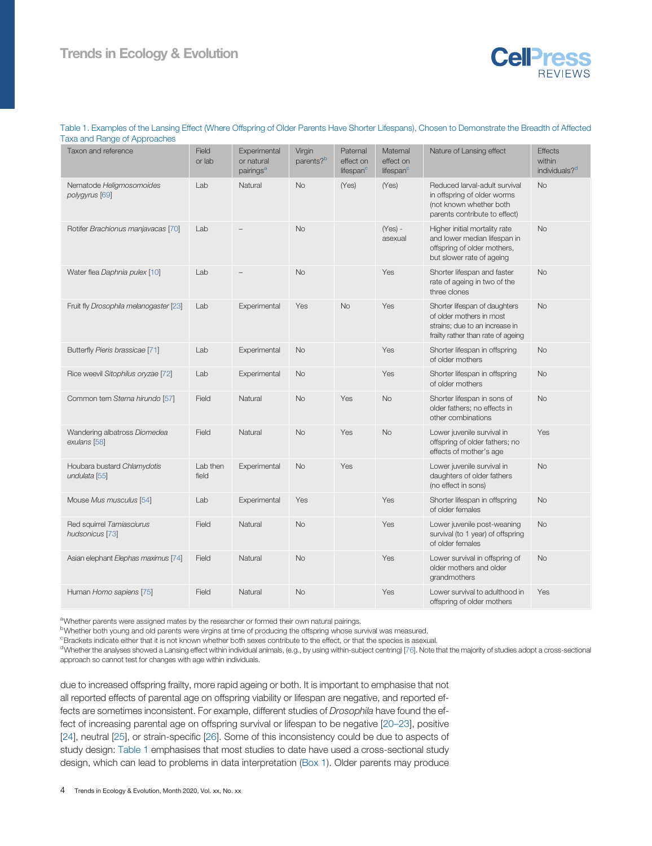## <span id="page-3-0"></span>Trends in Ecology & Evolution



| I axa and Hange of Approaches                |                   |                                                     |                     |                                                |                                                |                                                                                                                                   |                                                       |
|----------------------------------------------|-------------------|-----------------------------------------------------|---------------------|------------------------------------------------|------------------------------------------------|-----------------------------------------------------------------------------------------------------------------------------------|-------------------------------------------------------|
| Taxon and reference                          | Field<br>or lab   | Experimental<br>or natural<br>pairings <sup>a</sup> | Virgin<br>parents?b | Paternal<br>effect on<br>lifespan <sup>c</sup> | Maternal<br>effect on<br>lifespan <sup>c</sup> | Nature of Lansing effect                                                                                                          | <b>Effects</b><br>within<br>individuals? <sup>d</sup> |
| Nematode Heligmosomoides<br>polygyrus [69]   | Lab               | Natural                                             | <b>No</b>           | (Yes)                                          | (Yes)                                          | Reduced larval-adult survival<br>in offspring of older worms<br>(not known whether both<br>parents contribute to effect)          | <b>No</b>                                             |
| Rotifer Brachionus manjavacas [70]           | Lab               |                                                     | <b>No</b>           |                                                | $(Yes)$ -<br>asexual                           | Higher initial mortality rate<br>and lower median lifespan in<br>offspring of older mothers,<br>but slower rate of ageing         | <b>No</b>                                             |
| Water flea Daphnia pulex [10]                | Lab               |                                                     | <b>No</b>           |                                                | Yes                                            | Shorter lifespan and faster<br>rate of ageing in two of the<br>three clones                                                       | <b>No</b>                                             |
| Fruit fly Drosophila melanogaster [23]       | Lab               | Experimental                                        | Yes                 | <b>No</b>                                      | Yes                                            | Shorter lifespan of daughters<br>of older mothers in most<br>strains; due to an increase in<br>frailty rather than rate of ageing | <b>No</b>                                             |
| Butterfly Pieris brassicae [71]              | Lab               | Experimental                                        | <b>No</b>           |                                                | Yes                                            | Shorter lifespan in offspring<br>of older mothers                                                                                 | <b>No</b>                                             |
| Rice weevil Sitophilus oryzae [72]           | Lab               | Experimental                                        | <b>No</b>           |                                                | Yes                                            | Shorter lifespan in offspring<br>of older mothers                                                                                 | <b>No</b>                                             |
| Common tern Sterna hirundo [57]              | Field             | Natural                                             | <b>No</b>           | Yes                                            | No                                             | Shorter lifespan in sons of<br>older fathers; no effects in<br>other combinations                                                 | No                                                    |
| Wandering albatross Diomedea<br>exulans [58] | Field             | Natural                                             | <b>No</b>           | Yes                                            | <b>No</b>                                      | Lower juvenile survival in<br>offspring of older fathers; no<br>effects of mother's age                                           | Yes                                                   |
| Houbara bustard Chlamydotis<br>undulata [55] | Lab then<br>field | Experimental                                        | <b>No</b>           | Yes                                            |                                                | Lower juvenile survival in<br>daughters of older fathers<br>(no effect in sons)                                                   | <b>No</b>                                             |
| Mouse Mus musculus [54]                      | Lab               | Experimental                                        | Yes                 |                                                | Yes                                            | Shorter lifespan in offspring<br>of older females                                                                                 | <b>No</b>                                             |
| Red squirrel Tamiasciurus<br>hudsonicus [73] | Field             | Natural                                             | <b>No</b>           |                                                | Yes                                            | Lower juvenile post-weaning<br>survival (to 1 year) of offspring<br>of older females                                              | <b>No</b>                                             |
| Asian elephant Elephas maximus [74]          | Field             | Natural                                             | No                  |                                                | Yes                                            | Lower survival in offspring of<br>older mothers and older<br>grandmothers                                                         | <b>No</b>                                             |
| Human Homo sapiens [75]                      | Field             | Natural                                             | <b>No</b>           |                                                | Yes                                            | Lower survival to adulthood in<br>offspring of older mothers                                                                      | Yes                                                   |

Table 1. Examples of the Lansing Effect (Where Offspring of Older Parents Have Shorter Lifespans), Chosen to Demonstrate the Breadth of Affected Taxa and Range of Approaches

aWhether parents were assigned mates by the researcher or formed their own natural pairings.

**bWhether both young and old parents were virgins at time of producing the offspring whose survival was measured.** 

<sup>c</sup>Brackets indicate either that it is not known whether both sexes contribute to the effect, or that the species is asexual.

dWhether the analyses showed a Lansing effect within individual animals, (e.g., by using within-subject centring) [\[76\]](#page-10-0). Note that the majority of studies adopt a cross-sectional approach so cannot test for changes with age within individuals.

due to increased offspring frailty, more rapid ageing or both. It is important to emphasise that not all reported effects of parental age on offspring viability or lifespan are negative, and reported effects are sometimes inconsistent. For example, different studies of Drosophila have found the effect of increasing parental age on offspring survival or lifespan to be negative [20–[23](#page-9-0)], positive [[24\]](#page-9-0), neutral [[25](#page-9-0)], or strain-specific [\[26](#page-9-0)]. Some of this inconsistency could be due to aspects of study design: Table 1 emphasises that most studies to date have used a cross-sectional study design, which can lead to problems in data interpretation [\(Box 1](#page-1-0)). Older parents may produce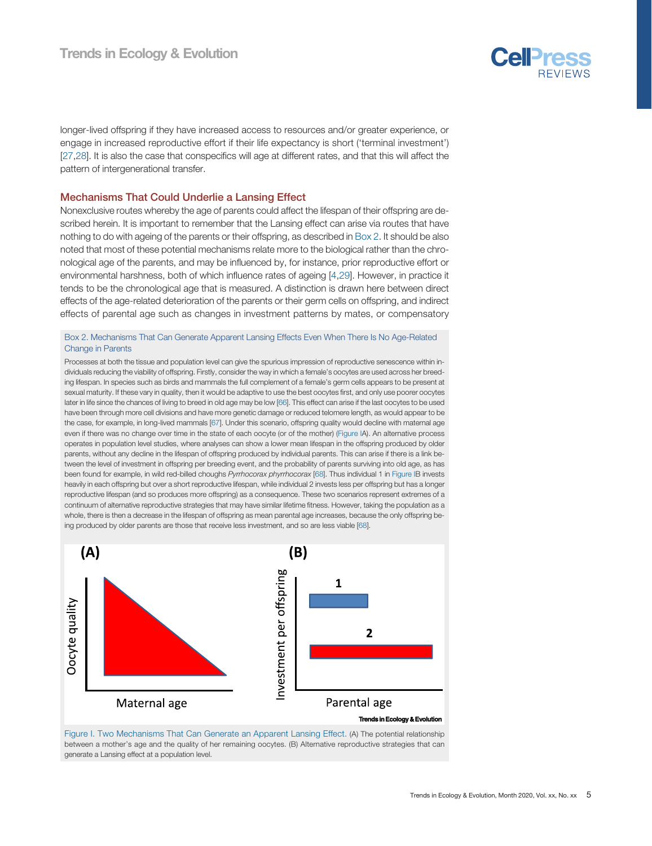

<span id="page-4-0"></span>longer-lived offspring if they have increased access to resources and/or greater experience, or engage in increased reproductive effort if their life expectancy is short ('terminal investment') [[27,28](#page-9-0)]. It is also the case that conspecifics will age at different rates, and that this will affect the pattern of intergenerational transfer.

#### Mechanisms That Could Underlie a Lansing Effect

Nonexclusive routes whereby the age of parents could affect the lifespan of their offspring are described herein. It is important to remember that the Lansing effect can arise via routes that have nothing to do with ageing of the parents or their offspring, as described in Box 2. It should be also noted that most of these potential mechanisms relate more to the biological rather than the chronological age of the parents, and may be influenced by, for instance, prior reproductive effort or environmental harshness, both of which influence rates of ageing [\[4](#page-9-0),[29\]](#page-9-0). However, in practice it tends to be the chronological age that is measured. A distinction is drawn here between direct effects of the age-related deterioration of the parents or their germ cells on offspring, and indirect effects of parental age such as changes in investment patterns by mates, or compensatory

#### Box 2. Mechanisms That Can Generate Apparent Lansing Effects Even When There Is No Age-Related Change in Parents

Processes at both the tissue and population level can give the spurious impression of reproductive senescence within individuals reducing the viability of offspring. Firstly, consider the way in which a female's oocytes are used across her breeding lifespan. In species such as birds and mammals the full complement of a female's germ cells appears to be present at sexual maturity. If these vary in quality, then it would be adaptive to use the best oocytes first, and only use poorer oocytes later in life since the chances of living to breed in old age may be low [[66](#page-10-0)]. This effect can arise if the last oocytes to be used have been through more cell divisions and have more genetic damage or reduced telomere length, as would appear to be the case, for example, in long-lived mammals [[67](#page-10-0)]. Under this scenario, offspring quality would decline with maternal age even if there was no change over time in the state of each oocyte (or of the mother) (Figure IA). An alternative process operates in population level studies, where analyses can show a lower mean lifespan in the offspring produced by older parents, without any decline in the lifespan of offspring produced by individual parents. This can arise if there is a link between the level of investment in offspring per breeding event, and the probability of parents surviving into old age, as has been found for example, in wild red-billed choughs Pyrrhocorax phyrrhocorax [[68](#page-10-0)]. Thus individual 1 in Figure IB invests heavily in each offspring but over a short reproductive lifespan, while individual 2 invests less per offspring but has a longer reproductive lifespan (and so produces more offspring) as a consequence. These two scenarios represent extremes of a continuum of alternative reproductive strategies that may have similar lifetime fitness. However, taking the population as a whole, there is then a decrease in the lifespan of offspring as mean parental age increases, because the only offspring being produced by older parents are those that receive less investment, and so are less viable [[68\]](#page-10-0).



Figure I. Two Mechanisms That Can Generate an Apparent Lansing Effect. (A) The potential relationship between a mother's age and the quality of her remaining oocytes. (B) Alternative reproductive strategies that can generate a Lansing effect at a population level.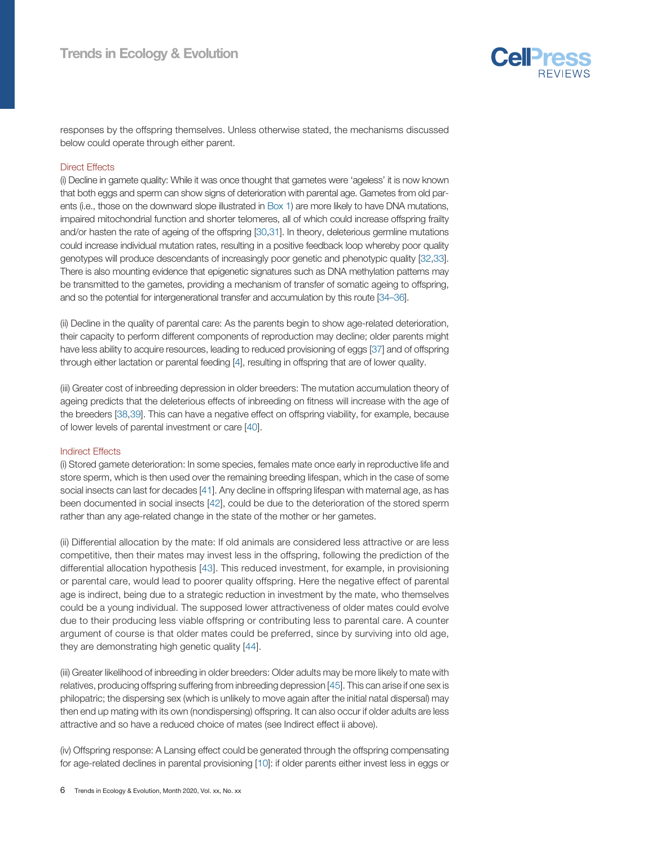

responses by the offspring themselves. Unless otherwise stated, the mechanisms discussed below could operate through either parent.

#### Direct Effects

(i) Decline in gamete quality: While it was once thought that gametes were 'ageless' it is now known that both eggs and sperm can show signs of deterioration with parental age. Gametes from old parents (i.e., those on the downward slope illustrated in [Box 1](#page-1-0)) are more likely to have DNA mutations, impaired mitochondrial function and shorter telomeres, all of which could increase offspring frailty and/or hasten the rate of ageing of the offspring [\[30,31\]](#page-9-0). In theory, deleterious germline mutations could increase individual mutation rates, resulting in a positive feedback loop whereby poor quality genotypes will produce descendants of increasingly poor genetic and phenotypic quality [\[32,33\]](#page-9-0). There is also mounting evidence that epigenetic signatures such as DNA methylation patterns may be transmitted to the gametes, providing a mechanism of transfer of somatic ageing to offspring, and so the potential for intergenerational transfer and accumulation by this route [\[34](#page-9-0)–36].

(ii) Decline in the quality of parental care: As the parents begin to show age-related deterioration, their capacity to perform different components of reproduction may decline; older parents might have less ability to acquire resources, leading to reduced provisioning of eggs [\[37\]](#page-9-0) and of offspring through either lactation or parental feeding [\[4](#page-9-0)], resulting in offspring that are of lower quality.

(iii) Greater cost of inbreeding depression in older breeders: The mutation accumulation theory of ageing predicts that the deleterious effects of inbreeding on fitness will increase with the age of the breeders [\[38](#page-9-0),[39](#page-9-0)]. This can have a negative effect on offspring viability, for example, because of lower levels of parental investment or care [\[40](#page-9-0)].

#### Indirect Effects

(i) Stored gamete deterioration: In some species, females mate once early in reproductive life and store sperm, which is then used over the remaining breeding lifespan, which in the case of some social insects can last for decades [[41](#page-9-0)]. Any decline in offspring lifespan with maternal age, as has been documented in social insects [[42\]](#page-9-0), could be due to the deterioration of the stored sperm rather than any age-related change in the state of the mother or her gametes.

(ii) Differential allocation by the mate: If old animals are considered less attractive or are less competitive, then their mates may invest less in the offspring, following the prediction of the differential allocation hypothesis [[43](#page-9-0)]. This reduced investment, for example, in provisioning or parental care, would lead to poorer quality offspring. Here the negative effect of parental age is indirect, being due to a strategic reduction in investment by the mate, who themselves could be a young individual. The supposed lower attractiveness of older mates could evolve due to their producing less viable offspring or contributing less to parental care. A counter argument of course is that older mates could be preferred, since by surviving into old age, they are demonstrating high genetic quality [[44](#page-9-0)].

(iii) Greater likelihood of inbreeding in older breeders: Older adults may be more likely to mate with relatives, producing offspring suffering from inbreeding depression [[45\]](#page-9-0). This can arise if one sex is philopatric; the dispersing sex (which is unlikely to move again after the initial natal dispersal) may then end up mating with its own (nondispersing) offspring. It can also occur if older adults are less attractive and so have a reduced choice of mates (see Indirect effect ii above).

(iv) Offspring response: A Lansing effect could be generated through the offspring compensating for age-related declines in parental provisioning [\[10](#page-9-0)]: if older parents either invest less in eggs or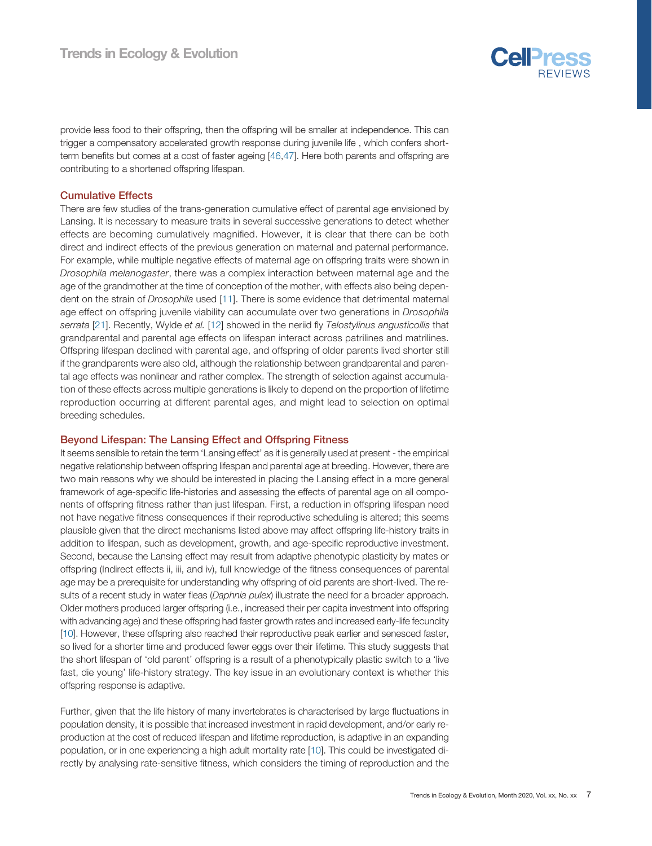

provide less food to their offspring, then the offspring will be smaller at independence. This can trigger a compensatory accelerated growth response during juvenile life , which confers shortterm benefits but comes at a cost of faster ageing [\[46,47](#page-9-0)]. Here both parents and offspring are contributing to a shortened offspring lifespan.

### Cumulative Effects

There are few studies of the trans-generation cumulative effect of parental age envisioned by Lansing. It is necessary to measure traits in several successive generations to detect whether effects are becoming cumulatively magnified. However, it is clear that there can be both direct and indirect effects of the previous generation on maternal and paternal performance. For example, while multiple negative effects of maternal age on offspring traits were shown in Drosophila melanogaster, there was a complex interaction between maternal age and the age of the grandmother at the time of conception of the mother, with effects also being dependent on the strain of *Drosophila* used [\[11\]](#page-9-0). There is some evidence that detrimental maternal age effect on offspring juvenile viability can accumulate over two generations in Drosophila serrata [[21\]](#page-9-0). Recently, Wylde et al. [[12\]](#page-9-0) showed in the neriid fly Telostylinus angusticollis that grandparental and parental age effects on lifespan interact across patrilines and matrilines. Offspring lifespan declined with parental age, and offspring of older parents lived shorter still if the grandparents were also old, although the relationship between grandparental and parental age effects was nonlinear and rather complex. The strength of selection against accumulation of these effects across multiple generations is likely to depend on the proportion of lifetime reproduction occurring at different parental ages, and might lead to selection on optimal breeding schedules.

### Beyond Lifespan: The Lansing Effect and Offspring Fitness

It seems sensible to retain the term 'Lansing effect' as it is generally used at present - the empirical negative relationship between offspring lifespan and parental age at breeding. However, there are two main reasons why we should be interested in placing the Lansing effect in a more general framework of age-specific life-histories and assessing the effects of parental age on all components of offspring fitness rather than just lifespan. First, a reduction in offspring lifespan need not have negative fitness consequences if their reproductive scheduling is altered; this seems plausible given that the direct mechanisms listed above may affect offspring life-history traits in addition to lifespan, such as development, growth, and age-specific reproductive investment. Second, because the Lansing effect may result from adaptive phenotypic plasticity by mates or offspring (Indirect effects ii, iii, and iv), full knowledge of the fitness consequences of parental age may be a prerequisite for understanding why offspring of old parents are short-lived. The results of a recent study in water fleas (Daphnia pulex) illustrate the need for a broader approach. Older mothers produced larger offspring (i.e., increased their per capita investment into offspring with advancing age) and these offspring had faster growth rates and increased early-life fecundity [[10\]](#page-9-0). However, these offspring also reached their reproductive peak earlier and senesced faster, so lived for a shorter time and produced fewer eggs over their lifetime. This study suggests that the short lifespan of 'old parent' offspring is a result of a phenotypically plastic switch to a 'live fast, die young' life-history strategy. The key issue in an evolutionary context is whether this offspring response is adaptive.

Further, given that the life history of many invertebrates is characterised by large fluctuations in population density, it is possible that increased investment in rapid development, and/or early reproduction at the cost of reduced lifespan and lifetime reproduction, is adaptive in an expanding population, or in one experiencing a high adult mortality rate [\[10](#page-9-0)]. This could be investigated directly by analysing rate-sensitive fitness, which considers the timing of reproduction and the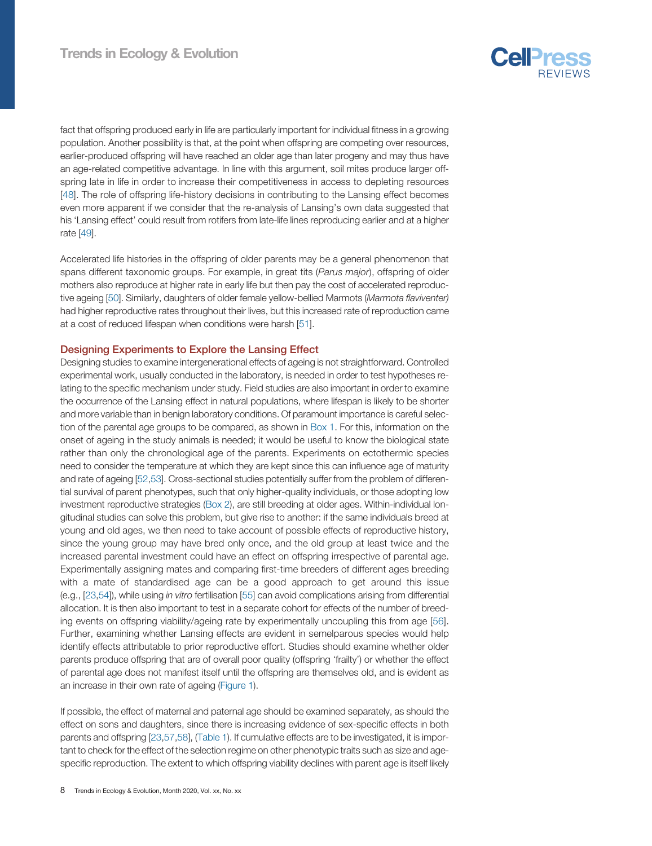

fact that offspring produced early in life are particularly important for individual fitness in a growing population. Another possibility is that, at the point when offspring are competing over resources, earlier-produced offspring will have reached an older age than later progeny and may thus have an age-related competitive advantage. In line with this argument, soil mites produce larger offspring late in life in order to increase their competitiveness in access to depleting resources [[48](#page-9-0)]. The role of offspring life-history decisions in contributing to the Lansing effect becomes even more apparent if we consider that the re-analysis of Lansing's own data suggested that his 'Lansing effect' could result from rotifers from late-life lines reproducing earlier and at a higher rate [[49\]](#page-9-0).

Accelerated life histories in the offspring of older parents may be a general phenomenon that spans different taxonomic groups. For example, in great tits (Parus major), offspring of older mothers also reproduce at higher rate in early life but then pay the cost of accelerated reproduc-tive ageing [\[50\]](#page-9-0). Similarly, daughters of older female yellow-bellied Marmots (Marmota flaviventer) had higher reproductive rates throughout their lives, but this increased rate of reproduction came at a cost of reduced lifespan when conditions were harsh [[51\]](#page-9-0).

#### Designing Experiments to Explore the Lansing Effect

Designing studies to examine intergenerational effects of ageing is not straightforward. Controlled experimental work, usually conducted in the laboratory, is needed in order to test hypotheses relating to the specific mechanism under study. Field studies are also important in order to examine the occurrence of the Lansing effect in natural populations, where lifespan is likely to be shorter and more variable than in benign laboratory conditions. Of paramount importance is careful selection of the parental age groups to be compared, as shown in [Box 1.](#page-1-0) For this, information on the onset of ageing in the study animals is needed; it would be useful to know the biological state rather than only the chronological age of the parents. Experiments on ectothermic species need to consider the temperature at which they are kept since this can influence age of maturity and rate of ageing [\[52,53](#page-9-0)]. Cross-sectional studies potentially suffer from the problem of differential survival of parent phenotypes, such that only higher-quality individuals, or those adopting low investment reproductive strategies [\(Box 2\)](#page-4-0), are still breeding at older ages. Within-individual longitudinal studies can solve this problem, but give rise to another: if the same individuals breed at young and old ages, we then need to take account of possible effects of reproductive history, since the young group may have bred only once, and the old group at least twice and the increased parental investment could have an effect on offspring irrespective of parental age. Experimentally assigning mates and comparing first-time breeders of different ages breeding with a mate of standardised age can be a good approach to get around this issue (e.g., [[23,54](#page-9-0)]), while using in vitro fertilisation [\[55\]](#page-10-0) can avoid complications arising from differential allocation. It is then also important to test in a separate cohort for effects of the number of breeding events on offspring viability/ageing rate by experimentally uncoupling this from age [[56\]](#page-10-0). Further, examining whether Lansing effects are evident in semelparous species would help identify effects attributable to prior reproductive effort. Studies should examine whether older parents produce offspring that are of overall poor quality (offspring 'frailty') or whether the effect of parental age does not manifest itself until the offspring are themselves old, and is evident as an increase in their own rate of ageing ([Figure 1\)](#page-2-0).

If possible, the effect of maternal and paternal age should be examined separately, as should the effect on sons and daughters, since there is increasing evidence of sex-specific effects in both parents and offspring [[23](#page-9-0),[57,58\]](#page-10-0), ([Table 1](#page-3-0)). If cumulative effects are to be investigated, it is important to check for the effect of the selection regime on other phenotypic traits such as size and agespecific reproduction. The extent to which offspring viability declines with parent age is itself likely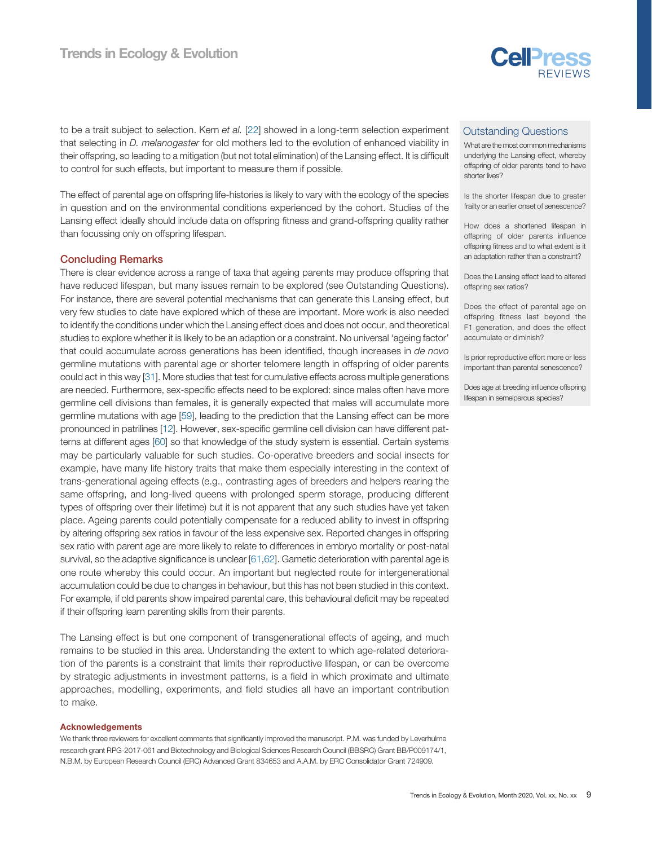

to be a trait subject to selection. Kern et al. [\[22](#page-9-0)] showed in a long-term selection experiment that selecting in D. melanogaster for old mothers led to the evolution of enhanced viability in their offspring, so leading to a mitigation (but not total elimination) of the Lansing effect. It is difficult to control for such effects, but important to measure them if possible.

The effect of parental age on offspring life-histories is likely to vary with the ecology of the species in question and on the environmental conditions experienced by the cohort. Studies of the Lansing effect ideally should include data on offspring fitness and grand-offspring quality rather than focussing only on offspring lifespan.

#### Concluding Remarks

There is clear evidence across a range of taxa that ageing parents may produce offspring that have reduced lifespan, but many issues remain to be explored (see Outstanding Questions). For instance, there are several potential mechanisms that can generate this Lansing effect, but very few studies to date have explored which of these are important. More work is also needed to identify the conditions under which the Lansing effect does and does not occur, and theoretical studies to explore whether it is likely to be an adaption or a constraint. No universal 'ageing factor' that could accumulate across generations has been identified, though increases in de novo germline mutations with parental age or shorter telomere length in offspring of older parents could act in this way [\[31](#page-9-0)]. More studies that test for cumulative effects across multiple generations are needed. Furthermore, sex-specific effects need to be explored: since males often have more germline cell divisions than females, it is generally expected that males will accumulate more germline mutations with age [[59\]](#page-10-0), leading to the prediction that the Lansing effect can be more pronounced in patrilines [\[12](#page-9-0)]. However, sex-specific germline cell division can have different patterns at different ages [\[60](#page-10-0)] so that knowledge of the study system is essential. Certain systems may be particularly valuable for such studies. Co-operative breeders and social insects for example, have many life history traits that make them especially interesting in the context of trans-generational ageing effects (e.g., contrasting ages of breeders and helpers rearing the same offspring, and long-lived queens with prolonged sperm storage, producing different types of offspring over their lifetime) but it is not apparent that any such studies have yet taken place. Ageing parents could potentially compensate for a reduced ability to invest in offspring by altering offspring sex ratios in favour of the less expensive sex. Reported changes in offspring sex ratio with parent age are more likely to relate to differences in embryo mortality or post-natal survival, so the adaptive significance is unclear [\[61,62](#page-10-0)]. Gametic deterioration with parental age is one route whereby this could occur. An important but neglected route for intergenerational accumulation could be due to changes in behaviour, but this has not been studied in this context. For example, if old parents show impaired parental care, this behavioural deficit may be repeated if their offspring learn parenting skills from their parents.

The Lansing effect is but one component of transgenerational effects of ageing, and much remains to be studied in this area. Understanding the extent to which age-related deterioration of the parents is a constraint that limits their reproductive lifespan, or can be overcome by strategic adjustments in investment patterns, is a field in which proximate and ultimate approaches, modelling, experiments, and field studies all have an important contribution to make.

#### Acknowledgements

We thank three reviewers for excellent comments that significantly improved the manuscript. P.M. was funded by Leverhulme research grant RPG-2017-061 and Biotechnology and Biological Sciences Research Council (BBSRC) Grant BB/P009174/1, N.B.M. by European Research Council (ERC) Advanced Grant 834653 and A.A.M. by ERC Consolidator Grant 724909.

#### Outstanding Questions

What are the most common mechanisms underlying the Lansing effect, whereby offspring of older parents tend to have shorter lives?

Is the shorter lifespan due to greater frailty or an earlier onset of senescence?

How does a shortened lifespan in offspring of older parents influence offspring fitness and to what extent is it an adaptation rather than a constraint?

Does the Lansing effect lead to altered offspring sex ratios?

Does the effect of parental age on offspring fitness last beyond the F1 generation, and does the effect accumulate or diminish?

Is prior reproductive effort more or less important than parental senescence?

Does age at breeding influence offspring lifespan in semelparous species?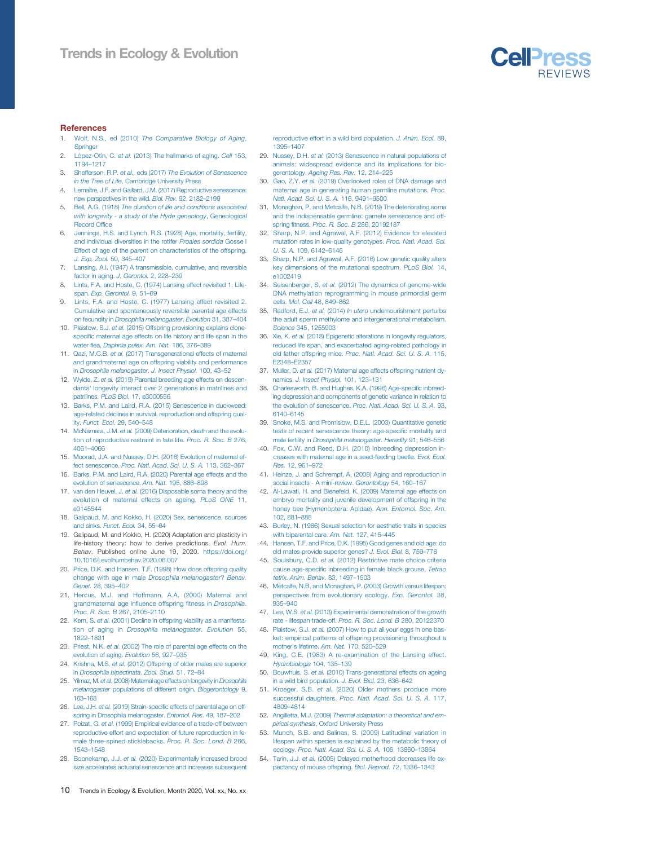

#### <span id="page-9-0"></span>**References**

- 1. Wolf, N.S., ed (2010) [The Comparative Biology of Aging](http://refhub.elsevier.com/S0169-5347(20)30185-3/rf0005), **[Springer](http://refhub.elsevier.com/S0169-5347(20)30185-3/rf0005)**
- 2. López-Otín, C. et al. [\(2013\) The hallmarks of aging.](http://refhub.elsevier.com/S0169-5347(20)30185-3/rf0010) Cell 153, 1194–[1217](http://refhub.elsevier.com/S0169-5347(20)30185-3/rf0010) 3. Shefferson, R.P. et al., eds (2017) [The Evolution of Senescence](http://refhub.elsevier.com/S0169-5347(20)30185-3/rf0015)
- in the Tree of Life[, Cambridge University Press](http://refhub.elsevier.com/S0169-5347(20)30185-3/rf0015) 4. [Lemaître, J.F. and Gaillard, J.M. \(2017\) Reproductive senescence:](http://refhub.elsevier.com/S0169-5347(20)30185-3/rf0020)
- [new perspectives in the wild.](http://refhub.elsevier.com/S0169-5347(20)30185-3/rf0020) Biol. Rev. 92, 2182–2199
- 5. Bell, A.G. (1918) [The duration of life and conditions associated](http://refhub.elsevier.com/S0169-5347(20)30185-3/rf0025) [with longevity - a study of the Hyde geneology](http://refhub.elsevier.com/S0169-5347(20)30185-3/rf0025), Geneological [Record Of](http://refhub.elsevier.com/S0169-5347(20)30185-3/rf0025)fice
- 6. [Jennings, H.S. and Lynch, R.S. \(1928\) Age, mortality, fertility,](http://refhub.elsevier.com/S0169-5347(20)30185-3/rf0030) [and individual diversities in the rotifer](http://refhub.elsevier.com/S0169-5347(20)30185-3/rf0030) Proales sordida Gosse I [Effect of age of the parent on characteristics of the offspring.](http://refhub.elsevier.com/S0169-5347(20)30185-3/rf0030) [J. Exp. Zool.](http://refhub.elsevier.com/S0169-5347(20)30185-3/rf0030) 50, 345–407
- [Lansing, A.I. \(1947\) A transmissible, cumulative, and reversible](http://refhub.elsevier.com/S0169-5347(20)30185-3/rf0035) [factor in aging.](http://refhub.elsevier.com/S0169-5347(20)30185-3/rf0035) J. Gerontol. 2, 228-239
- 8. [Lints, F.A. and Hoste, C. \(1974\) Lansing effect revisited 1. Life-](http://refhub.elsevier.com/S0169-5347(20)30185-3/rf0040)span. [Exp. Gerontol.](http://refhub.elsevier.com/S0169-5347(20)30185-3/rf0040) 9, 51-69
- 9. [Lints, F.A. and Hoste, C. \(1977\) Lansing effect revisited 2.](http://refhub.elsevier.com/S0169-5347(20)30185-3/rf0045) [Cumulative and spontaneously reversible parental age effects](http://refhub.elsevier.com/S0169-5347(20)30185-3/rf0045) on fecundity in [Drosophila melanogaster](http://refhub.elsevier.com/S0169-5347(20)30185-3/rf0045). Evolution 31, 387–404
- 10. Plaistow, S.J. et al. [\(2015\) Offspring provisioning explains clone](http://refhub.elsevier.com/S0169-5347(20)30185-3/rf0050)specifi[c maternal age effects on life history and life span in the](http://refhub.elsevier.com/S0169-5347(20)30185-3/rf0050) water flea, [Daphnia pulex](http://refhub.elsevier.com/S0169-5347(20)30185-3/rf0050). Am. Nat. 186, 376–389
- 11. Qazi, M.C.B. et al. [\(2017\) Transgenerational effects of maternal](http://refhub.elsevier.com/S0169-5347(20)30185-3/rf0055) [and grandmaternal age on offspring viability and performance](http://refhub.elsevier.com/S0169-5347(20)30185-3/rf0055) in [Drosophila melanogaster](http://refhub.elsevier.com/S0169-5347(20)30185-3/rf0055). J. Insect Physiol. 100, 43–52
- 12. Wylde, Z. et al. [\(2019\) Parental breeding age effects on descen](http://refhub.elsevier.com/S0169-5347(20)30185-3/rf0060)[dants' longevity interact over 2 generations in matrilines and](http://refhub.elsevier.com/S0169-5347(20)30185-3/rf0060) patrilines. PLoS Biol. [17, e3000556](http://refhub.elsevier.com/S0169-5347(20)30185-3/rf0060)
- 13. [Barks, P.M. and Laird, R.A. \(2015\) Senescence in duckweed:](http://refhub.elsevier.com/S0169-5347(20)30185-3/rf0065) [age-related declines in survival, reproduction and offspring qual](http://refhub.elsevier.com/S0169-5347(20)30185-3/rf0065)ity. [Funct. Ecol.](http://refhub.elsevier.com/S0169-5347(20)30185-3/rf0065) 29, 540–548
- 14. McNamara, J.M. et al. [\(2009\) Deterioration, death and the evolu](http://refhub.elsevier.com/S0169-5347(20)30185-3/rf0070)[tion of reproductive restraint in late life.](http://refhub.elsevier.com/S0169-5347(20)30185-3/rf0070) Proc. R. Soc. B 276, [4061](http://refhub.elsevier.com/S0169-5347(20)30185-3/rf0070)–4066
- 15. [Moorad, J.A. and Nussey, D.H. \(2016\) Evolution of maternal ef](http://refhub.elsevier.com/S0169-5347(20)30185-3/rf0075)fect senescence. [Proc. Natl. Acad. Sci. U. S. A.](http://refhub.elsevier.com/S0169-5347(20)30185-3/rf0075) 113, 362–367
- 16. [Barks, P.M. and Laird, R.A. \(2020\) Parental age effects and the](http://refhub.elsevier.com/S0169-5347(20)30185-3/rf0080) [evolution of senescence.](http://refhub.elsevier.com/S0169-5347(20)30185-3/rf0080) Am. Nat. 195, 886–898
- 17. van den Heuvel, J. et al. [\(2016\) Disposable soma theory and the](http://refhub.elsevier.com/S0169-5347(20)30185-3/rf0085) [evolution of maternal effects on ageing.](http://refhub.elsevier.com/S0169-5347(20)30185-3/rf0085) PLoS ONE 11, [e0145544](http://refhub.elsevier.com/S0169-5347(20)30185-3/rf0085)
- 18. [Galipaud, M. and Kokko, H. \(2020\) Sex, senescence, sources](http://refhub.elsevier.com/S0169-5347(20)30185-3/rf0090) and sinks. [Funct. Ecol.](http://refhub.elsevier.com/S0169-5347(20)30185-3/rf0090) 34, 55–64
- 19. Galipaud, M. and Kokko, H. (2020) Adaptation and plasticity in life-history theory: how to derive predictions. Evol. Hum. Behav. Published online June 19, 2020. [https://doi.org/](https://doi.org/10.1016/j.evolhumbehav.2020.06.007) [10.1016/j.evolhumbehav.2020.06.007](https://doi.org/10.1016/j.evolhumbehav.2020.06.007)
- 20. [Price, D.K. and Hansen, T.F. \(1998\) How does offspring quality](http://refhub.elsevier.com/S0169-5347(20)30185-3/rf0100) [change with age in male](http://refhub.elsevier.com/S0169-5347(20)30185-3/rf0100) Drosophila melanogaster? Behav. Genet. [28, 395](http://refhub.elsevier.com/S0169-5347(20)30185-3/rf0100)–402
- 21. [Hercus, M.J. and Hoffmann, A.A. \(2000\) Maternal and](http://refhub.elsevier.com/S0169-5347(20)30185-3/rf0105) [grandmaternal age in](http://refhub.elsevier.com/S0169-5347(20)30185-3/rf0105)fluence offspring fitness in Drosophila. [Proc. R. Soc. B](http://refhub.elsevier.com/S0169-5347(20)30185-3/rf0105) 267, 2105–2110
- 22. Kern, S. et al. [\(2001\) Decline in offspring viability as a manifesta](http://refhub.elsevier.com/S0169-5347(20)30185-3/rf0110)tion of aging in [Drosophila melanogaster](http://refhub.elsevier.com/S0169-5347(20)30185-3/rf0110). Evolution 55, [1822](http://refhub.elsevier.com/S0169-5347(20)30185-3/rf0110)–1831
- 23. Priest, N.K. et al. [\(2002\) The role of parental age effects on the](http://refhub.elsevier.com/S0169-5347(20)30185-3/rf0115) [evolution of aging.](http://refhub.elsevier.com/S0169-5347(20)30185-3/rf0115) Evolution 56, 927–935
- 24. Krishna, M.S. et al. [\(2012\) Offspring of older males are superior](http://refhub.elsevier.com/S0169-5347(20)30185-3/rf0120) in [Drosophila bipectinata](http://refhub.elsevier.com/S0169-5347(20)30185-3/rf0120). Zool. Stud. 51, 72–84
- 25. Yilmaz, M. et al. [\(2008\) Maternal age effects on longevity in](http://refhub.elsevier.com/S0169-5347(20)30185-3/rf0125) Drosophila melanogaster [populations of different origin.](http://refhub.elsevier.com/S0169-5347(20)30185-3/rf0125) Biogerontology 9, [163](http://refhub.elsevier.com/S0169-5347(20)30185-3/rf0125)–168
- 26. Lee, J.H. et al. (2019) Strain-specifi[c effects of parental age on off](http://refhub.elsevier.com/S0169-5347(20)30185-3/rf0130)[spring in Drosophila melanogaster.](http://refhub.elsevier.com/S0169-5347(20)30185-3/rf0130) Entomol. Res. 49, 187-202
- 27. Poizat, G. et al. [\(1999\) Empirical evidence of a trade-off between](http://refhub.elsevier.com/S0169-5347(20)30185-3/rf0135) [reproductive effort and expectation of future reproduction in fe](http://refhub.elsevier.com/S0169-5347(20)30185-3/rf0135)male three-spined sticklebacks, Proc. R. Soc. Lond. B 266, [1543](http://refhub.elsevier.com/S0169-5347(20)30185-3/rf0135)–1548
- 28. Boonekamp, J.J. et al. [\(2020\) Experimentally increased brood](http://refhub.elsevier.com/S0169-5347(20)30185-3/rf0140) [size accelerates actuarial senescence and increases subsequent](http://refhub.elsevier.com/S0169-5347(20)30185-3/rf0140)

[reproductive effort in a wild bird population.](http://refhub.elsevier.com/S0169-5347(20)30185-3/rf0140) J. Anim. Ecol. 89, .<br>395–[1407](http://refhub.elsevier.com/S0169-5347(20)30185-3/rf0140)

- 29. Nussey, D.H. et al. [\(2013\) Senescence in natural populations of](http://refhub.elsevier.com/S0169-5347(20)30185-3/rf0145) [animals: widespread evidence and its implications for bio](http://refhub.elsevier.com/S0169-5347(20)30185-3/rf0145)gerontology. [Ageing Res. Rev.](http://refhub.elsevier.com/S0169-5347(20)30185-3/rf0145) 12, 214–225
- 30. Gao, Z.Y. et al. [\(2019\) Overlooked roles of DNA damage and](http://refhub.elsevier.com/S0169-5347(20)30185-3/rf0150) [maternal age in generating human germline mutations.](http://refhub.elsevier.com/S0169-5347(20)30185-3/rf0150) Proc. [Natl. Acad. Sci. U. S. A.](http://refhub.elsevier.com/S0169-5347(20)30185-3/rf0150) 116, 9491–9500
- 31. [Monaghan, P. and Metcalfe, N.B. \(2019\) The deteriorating soma](http://refhub.elsevier.com/S0169-5347(20)30185-3/rf0155) [and the indispensable germline: gamete senescence and off](http://refhub.elsevier.com/S0169-5347(20)30185-3/rf0155)spring fitness. [Proc. R. Soc. B](http://refhub.elsevier.com/S0169-5347(20)30185-3/rf0155) 286, 20192187
- 32. [Sharp, N.P. and Agrawal, A.F. \(2012\) Evidence for elevated](http://refhub.elsevier.com/S0169-5347(20)30185-3/rf0160) [mutation rates in low-quality genotypes.](http://refhub.elsevier.com/S0169-5347(20)30185-3/rf0160) Proc. Natl. Acad. Sci. U. S. A. [109, 6142](http://refhub.elsevier.com/S0169-5347(20)30185-3/rf0160)–6146
- [Sharp, N.P. and Agrawal, A.F. \(2016\) Low genetic quality alters](http://refhub.elsevier.com/S0169-5347(20)30185-3/rf0165) [key dimensions of the mutational spectrum.](http://refhub.elsevier.com/S0169-5347(20)30185-3/rf0165) PLoS Biol. 14, [e1002419](http://refhub.elsevier.com/S0169-5347(20)30185-3/rf0165)
- 34. Seisenberger, S. et al. [\(2012\) The dynamics of genome-wide](http://refhub.elsevier.com/S0169-5347(20)30185-3/rf0170) [DNA methylation reprogramming in mouse primordial germ](http://refhub.elsevier.com/S0169-5347(20)30185-3/rf0170) cells. [Mol. Cell](http://refhub.elsevier.com/S0169-5347(20)30185-3/rf0170) 48, 849–862
- 35. Radford, E.J. et al. (2014) In utero [undernourishment perturbs](http://refhub.elsevier.com/S0169-5347(20)30185-3/rf0175) [the adult sperm methylome and intergenerational metabolism.](http://refhub.elsevier.com/S0169-5347(20)30185-3/rf0175) Science [345, 1255903](http://refhub.elsevier.com/S0169-5347(20)30185-3/rf0175)
- 36. Xie, K. et al. [\(2018\) Epigenetic alterations in longevity regulators,](http://refhub.elsevier.com/S0169-5347(20)30185-3/rf0180) [reduced life span, and exacerbated aging-related pathology in](http://refhub.elsevier.com/S0169-5347(20)30185-3/rf0180) old father offspring mice. [Proc. Natl. Acad. Sci. U. S. A.](http://refhub.elsevier.com/S0169-5347(20)30185-3/rf0180) 115, [E2348](http://refhub.elsevier.com/S0169-5347(20)30185-3/rf0180)–E2357
- 37. Muller, D. et al. [\(2017\) Maternal age affects offspring nutrient dy](http://refhub.elsevier.com/S0169-5347(20)30185-3/rf0185)namics. [J. Insect Physiol.](http://refhub.elsevier.com/S0169-5347(20)30185-3/rf0185) 101, 123–131
- 38. [Charlesworth, B. and Hughes, K.A. \(1996\) Age-speci](http://refhub.elsevier.com/S0169-5347(20)30185-3/rf0190)fic inbreed[ing depression and components of genetic variance in relation to](http://refhub.elsevier.com/S0169-5347(20)30185-3/rf0190) the evolution of senescence. [Proc. Natl. Acad. Sci. U. S. A.](http://refhub.elsevier.com/S0169-5347(20)30185-3/rf0190) 93, [6140](http://refhub.elsevier.com/S0169-5347(20)30185-3/rf0190)–6145
- 39. [Snoke, M.S. and Promislow, D.E.L. \(2003\) Quantitative genetic](http://refhub.elsevier.com/S0169-5347(20)30185-3/rf0195) [tests of recent senescence theory: age-speci](http://refhub.elsevier.com/S0169-5347(20)30185-3/rf0195)fic mortality and male fertility in [Drosophila melanogaster](http://refhub.elsevier.com/S0169-5347(20)30185-3/rf0195). Heredity 91, 546–556
- 40. [Fox, C.W. and Reed, D.H. \(2010\) Inbreeding depression in](http://refhub.elsevier.com/S0169-5347(20)30185-3/rf0200)[creases with maternal age in a seed-feeding beetle.](http://refhub.elsevier.com/S0169-5347(20)30185-3/rf0200) Evol. Ecol. Res. [12, 961](http://refhub.elsevier.com/S0169-5347(20)30185-3/rf0200)–972
- 41. [Heinze, J. and Schrempf, A. \(2008\) Aging and reproduction in](http://refhub.elsevier.com/S0169-5347(20)30185-3/rf0205) [social insects - A mini-review.](http://refhub.elsevier.com/S0169-5347(20)30185-3/rf0205) Gerontology 54, 160–167
- 42. [Al-Lawati, H. and Bienefeld, K. \(2009\) Maternal age effects on](http://refhub.elsevier.com/S0169-5347(20)30185-3/rf0210) [embryo mortality and juvenile development of offspring in the](http://refhub.elsevier.com/S0169-5347(20)30185-3/rf0210) [honey bee \(Hymenoptera: Apidae\).](http://refhub.elsevier.com/S0169-5347(20)30185-3/rf0210) Ann. Entomol. Soc. Am. [102, 881](http://refhub.elsevier.com/S0169-5347(20)30185-3/rf0210)–888
- 43. [Burley, N. \(1986\) Sexual selection for aesthetic traits in species](http://refhub.elsevier.com/S0169-5347(20)30185-3/rf0215) [with biparental care.](http://refhub.elsevier.com/S0169-5347(20)30185-3/rf0215) Am. Nat. 127, 415–445
- 44. [Hansen, T.F. and Price, D.K. \(1995\) Good genes and old age: do](http://refhub.elsevier.com/S0169-5347(20)30185-3/rf0220) [old mates provide superior genes?](http://refhub.elsevier.com/S0169-5347(20)30185-3/rf0220) J. Evol. Biol. 8, 759–778
- 45. Soulsbury, C.D. et al. [\(2012\) Restrictive mate choice criteria](http://refhub.elsevier.com/S0169-5347(20)30185-3/rf0225) cause age-specifi[c inbreeding in female black grouse,](http://refhub.elsevier.com/S0169-5347(20)30185-3/rf0225) Tetrao tetrix. [Anim. Behav.](http://refhub.elsevier.com/S0169-5347(20)30185-3/rf0225) 83, 1497–1503
- 46. [Metcalfe, N.B. and Monaghan, P. \(2003\) Growth versus lifespan:](http://refhub.elsevier.com/S0169-5347(20)30185-3/rf0230) [perspectives from evolutionary ecology.](http://refhub.elsevier.com/S0169-5347(20)30185-3/rf0230) Exp. Gerontol. 38, [935](http://refhub.elsevier.com/S0169-5347(20)30185-3/rf0230)–940
- 47. Lee, W.S. et al. [\(2013\) Experimental demonstration of the growth](http://refhub.elsevier.com/S0169-5347(20)30185-3/rf0235) [rate - lifespan trade-off.](http://refhub.elsevier.com/S0169-5347(20)30185-3/rf0235) Proc. R. Soc. Lond. B 280, 20122370
- 48. Plaistow, S.J. et al. [\(2007\) How to put all your eggs in one bas](http://refhub.elsevier.com/S0169-5347(20)30185-3/rf0240)[ket: empirical patterns of offspring provisioning throughout a](http://refhub.elsevier.com/S0169-5347(20)30185-3/rf0240) [mother's lifetime.](http://refhub.elsevier.com/S0169-5347(20)30185-3/rf0240) Am. Nat. 170, 520–529
- 49. [King, C.E. \(1983\) A re-examination of the Lansing effect.](http://refhub.elsevier.com/S0169-5347(20)30185-3/rf0245) [Hydrobiologia](http://refhub.elsevier.com/S0169-5347(20)30185-3/rf0245) 104, 135–139
- 50. Bouwhuis, S. et al. [\(2010\) Trans-generational effects on ageing](http://refhub.elsevier.com/S0169-5347(20)30185-3/rf0250) [in a wild bird population.](http://refhub.elsevier.com/S0169-5347(20)30185-3/rf0250) J. Evol. Biol. 23, 636–642
- 51. Kroeger, S.B. et al. [\(2020\) Older mothers produce more](http://refhub.elsevier.com/S0169-5347(20)30185-3/rf0255) successful daughters. [Proc. Natl. Acad. Sci. U. S. A.](http://refhub.elsevier.com/S0169-5347(20)30185-3/rf0255) 117, [4809](http://refhub.elsevier.com/S0169-5347(20)30185-3/rf0255)–4814
- 52. Angilletta, M.J. (2009) [Thermal adaptation: a theoretical and em](http://refhub.elsevier.com/S0169-5347(20)30185-3/rf0260)pirical synthesis[, Oxford University Press](http://refhub.elsevier.com/S0169-5347(20)30185-3/rf0260)
- 53. [Munch, S.B. and Salinas, S. \(2009\) Latitudinal variation in](http://refhub.elsevier.com/S0169-5347(20)30185-3/rf0265) [lifespan within species is explained by the metabolic theory of](http://refhub.elsevier.com/S0169-5347(20)30185-3/rf0265) ecology. [Proc. Natl. Acad. Sci. U. S. A.](http://refhub.elsevier.com/S0169-5347(20)30185-3/rf0265) 106, 13860–13864
- 54. Tarín, J.J. et al. [\(2005\) Delayed motherhood decreases life ex](http://refhub.elsevier.com/S0169-5347(20)30185-3/rf0270)[pectancy of mouse offspring.](http://refhub.elsevier.com/S0169-5347(20)30185-3/rf0270) Biol. Reprod. 72, 1336–1343
- 10 Trends in Ecology & Evolution, Month 2020, Vol. xx, No. xx